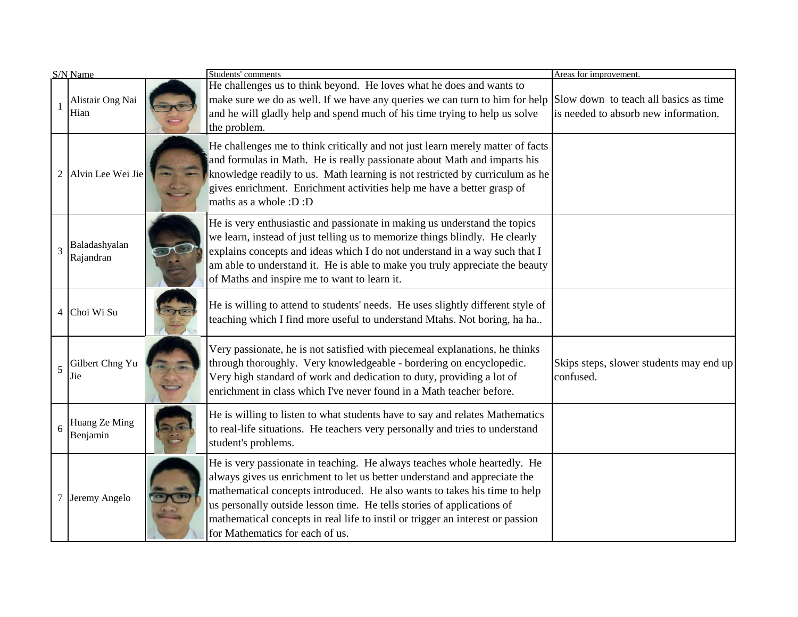| S/N Name |                            | Students' comments                                                                                                                                                                                                                                                                                                                                                                                                                | Areas for improvement.                                                        |
|----------|----------------------------|-----------------------------------------------------------------------------------------------------------------------------------------------------------------------------------------------------------------------------------------------------------------------------------------------------------------------------------------------------------------------------------------------------------------------------------|-------------------------------------------------------------------------------|
|          | Alistair Ong Nai<br>Hian   | He challenges us to think beyond. He loves what he does and wants to<br>make sure we do as well. If we have any queries we can turn to him for help<br>and he will gladly help and spend much of his time trying to help us solve<br>the problem.                                                                                                                                                                                 | Slow down to teach all basics as time<br>is needed to absorb new information. |
| 2        | Alvin Lee Wei Jie          | He challenges me to think critically and not just learn merely matter of facts<br>and formulas in Math. He is really passionate about Math and imparts his<br>knowledge readily to us. Math learning is not restricted by curriculum as he<br>gives enrichment. Enrichment activities help me have a better grasp of<br>maths as a whole :D :D                                                                                    |                                                                               |
| 3        | Baladashyalan<br>Rajandran | He is very enthusiastic and passionate in making us understand the topics<br>we learn, instead of just telling us to memorize things blindly. He clearly<br>explains concepts and ideas which I do not understand in a way such that I<br>am able to understand it. He is able to make you truly appreciate the beauty<br>of Maths and inspire me to want to learn it.                                                            |                                                                               |
|          | 4 Choi Wi Su               | He is willing to attend to students' needs. He uses slightly different style of<br>teaching which I find more useful to understand Mtahs. Not boring, ha ha                                                                                                                                                                                                                                                                       |                                                                               |
| 5        | Gilbert Chng Yu<br>Jie     | Very passionate, he is not satisfied with piecemeal explanations, he thinks<br>through thoroughly. Very knowledgeable - bordering on encyclopedic.<br>Very high standard of work and dedication to duty, providing a lot of<br>enrichment in class which I've never found in a Math teacher before.                                                                                                                               | Skips steps, slower students may end up<br>confused.                          |
| 6        | Huang Ze Ming<br>Benjamin  | He is willing to listen to what students have to say and relates Mathematics<br>to real-life situations. He teachers very personally and tries to understand<br>student's problems.                                                                                                                                                                                                                                               |                                                                               |
|          | 7 Jeremy Angelo            | He is very passionate in teaching. He always teaches whole heartedly. He<br>always gives us enrichment to let us better understand and appreciate the<br>mathematical concepts introduced. He also wants to takes his time to help<br>us personally outside lesson time. He tells stories of applications of<br>mathematical concepts in real life to instil or trigger an interest or passion<br>for Mathematics for each of us. |                                                                               |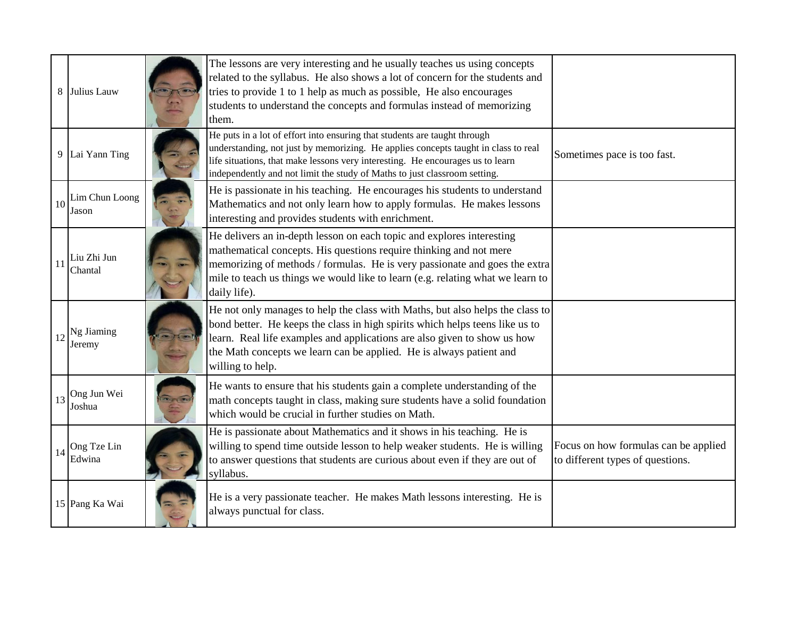|    | 8 Julius Lauw              | The lessons are very interesting and he usually teaches us using concepts<br>related to the syllabus. He also shows a lot of concern for the students and<br>tries to provide 1 to 1 help as much as possible, He also encourages<br>students to understand the concepts and formulas instead of memorizing<br>them.                 |                                                                          |
|----|----------------------------|--------------------------------------------------------------------------------------------------------------------------------------------------------------------------------------------------------------------------------------------------------------------------------------------------------------------------------------|--------------------------------------------------------------------------|
|    | 9 Lai Yann Ting            | He puts in a lot of effort into ensuring that students are taught through<br>understanding, not just by memorizing. He applies concepts taught in class to real<br>life situations, that make lessons very interesting. He encourages us to learn<br>independently and not limit the study of Maths to just classroom setting.       | Sometimes pace is too fast.                                              |
| 10 | Lim Chun Loong<br>Jason    | He is passionate in his teaching. He encourages his students to understand<br>Mathematics and not only learn how to apply formulas. He makes lessons<br>interesting and provides students with enrichment.                                                                                                                           |                                                                          |
| 11 | Liu Zhi Jun<br>Chantal     | He delivers an in-depth lesson on each topic and explores interesting<br>mathematical concepts. His questions require thinking and not mere<br>memorizing of methods / formulas. He is very passionate and goes the extra<br>mile to teach us things we would like to learn (e.g. relating what we learn to<br>daily life).          |                                                                          |
| 12 | Ng Jiaming<br>Jeremy       | He not only manages to help the class with Maths, but also helps the class to<br>bond better. He keeps the class in high spirits which helps teens like us to<br>learn. Real life examples and applications are also given to show us how<br>the Math concepts we learn can be applied. He is always patient and<br>willing to help. |                                                                          |
|    | $13$ Ong Jun Wei<br>Joshua | He wants to ensure that his students gain a complete understanding of the<br>math concepts taught in class, making sure students have a solid foundation<br>which would be crucial in further studies on Math.                                                                                                                       |                                                                          |
| 14 | Ong Tze Lin<br>Edwina      | He is passionate about Mathematics and it shows in his teaching. He is<br>willing to spend time outside lesson to help weaker students. He is willing<br>to answer questions that students are curious about even if they are out of<br>syllabus.                                                                                    | Focus on how formulas can be applied<br>to different types of questions. |
|    | 15 Pang Ka Wai             | He is a very passionate teacher. He makes Math lessons interesting. He is<br>always punctual for class.                                                                                                                                                                                                                              |                                                                          |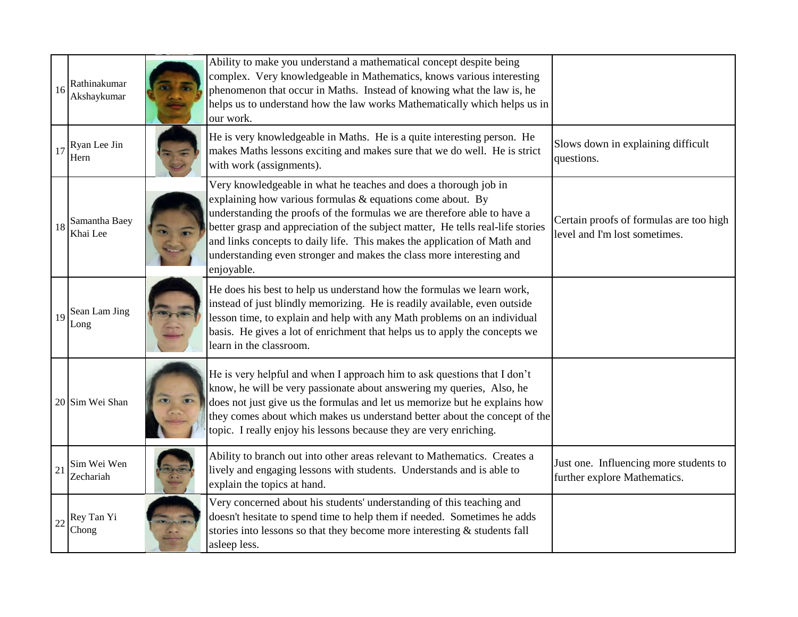| 16 | Rathinakumar<br>Akshaykumar | Ability to make you understand a mathematical concept despite being<br>complex. Very knowledgeable in Mathematics, knows various interesting<br>phenomenon that occur in Maths. Instead of knowing what the law is, he<br>helps us to understand how the law works Mathematically which helps us in<br>our work.                                                                                                                                                |                                                                          |
|----|-----------------------------|-----------------------------------------------------------------------------------------------------------------------------------------------------------------------------------------------------------------------------------------------------------------------------------------------------------------------------------------------------------------------------------------------------------------------------------------------------------------|--------------------------------------------------------------------------|
| 17 | Ryan Lee Jin<br>Hern        | He is very knowledgeable in Maths. He is a quite interesting person. He<br>makes Maths lessons exciting and makes sure that we do well. He is strict<br>with work (assignments).                                                                                                                                                                                                                                                                                | Slows down in explaining difficult<br>questions.                         |
| 18 | Samantha Baey<br>Khai Lee   | Very knowledgeable in what he teaches and does a thorough job in<br>explaining how various formulas & equations come about. By<br>understanding the proofs of the formulas we are therefore able to have a<br>better grasp and appreciation of the subject matter, He tells real-life stories<br>and links concepts to daily life. This makes the application of Math and<br>understanding even stronger and makes the class more interesting and<br>enjoyable. | Certain proofs of formulas are too high<br>level and I'm lost sometimes. |
| 19 | Sean Lam Jing<br>Long       | He does his best to help us understand how the formulas we learn work,<br>instead of just blindly memorizing. He is readily available, even outside<br>lesson time, to explain and help with any Math problems on an individual<br>basis. He gives a lot of enrichment that helps us to apply the concepts we<br>learn in the classroom.                                                                                                                        |                                                                          |
|    | 20 Sim Wei Shan             | He is very helpful and when I approach him to ask questions that I don't<br>know, he will be very passionate about answering my queries, Also, he<br>does not just give us the formulas and let us memorize but he explains how<br>they comes about which makes us understand better about the concept of the<br>topic. I really enjoy his lessons because they are very enriching.                                                                             |                                                                          |
| 21 | Sim Wei Wen<br>Zechariah    | Ability to branch out into other areas relevant to Mathematics. Creates a<br>lively and engaging lessons with students. Understands and is able to<br>explain the topics at hand.                                                                                                                                                                                                                                                                               | Just one. Influencing more students to<br>further explore Mathematics.   |
| 22 | Rey Tan Yi<br>Chong         | Very concerned about his students' understanding of this teaching and<br>doesn't hesitate to spend time to help them if needed. Sometimes he adds<br>stories into lessons so that they become more interesting $\&$ students fall<br>asleep less.                                                                                                                                                                                                               |                                                                          |